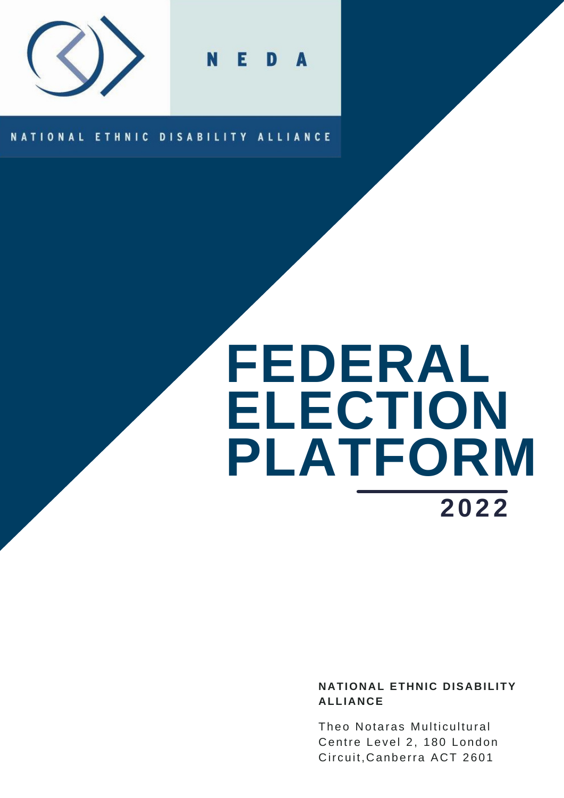

E D

#### NATIONAL ETHNIC DISABILITY ALLIANCE

# **FEDERAL ELECTION PLATFORM 2022**

**NATIONAL ETHNIC DISABILITY ALLIANCE**

Theo Notaras Multicultural Centre Level 2, 180 London Circuit, Canberra ACT 2601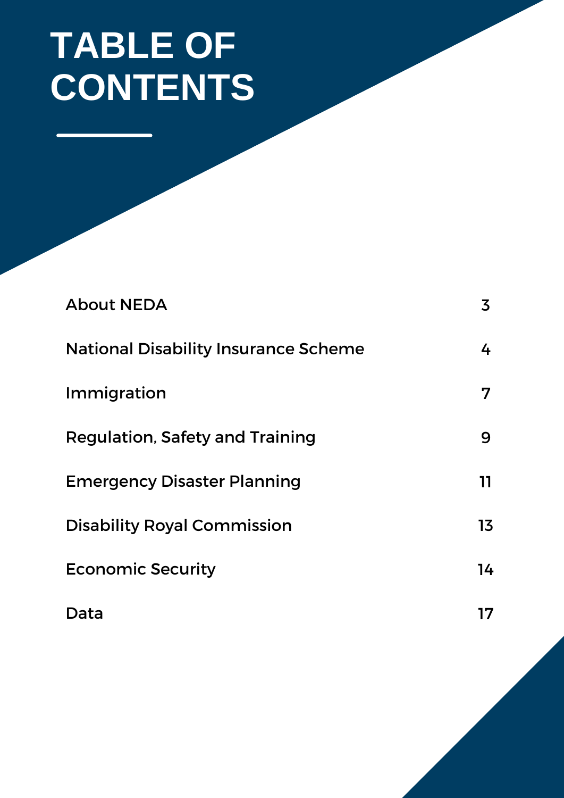# **TABLE OF CONTENTS**

| <b>About NEDA</b>                           | 3  |
|---------------------------------------------|----|
| <b>National Disability Insurance Scheme</b> | 4  |
| Immigration                                 |    |
| <b>Regulation, Safety and Training</b>      | 9  |
| <b>Emergency Disaster Planning</b>          | 11 |
| <b>Disability Royal Commission</b>          | 13 |
| <b>Economic Security</b>                    | 14 |
| Data                                        | 17 |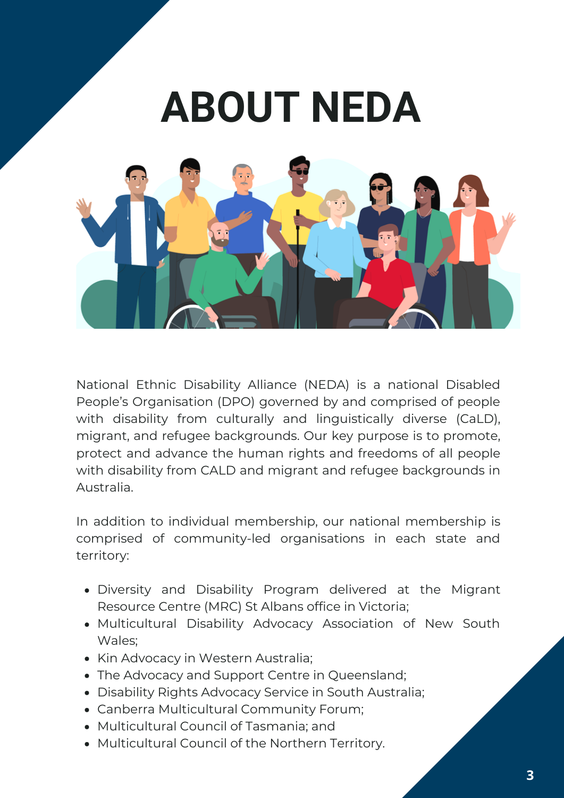

National Ethnic Disability Alliance (NEDA) is a national Disabled People's Organisation (DPO) governed by and comprised of people with disability from culturally and linguistically diverse (CaLD), migrant, and refugee backgrounds. Our key purpose is to promote, protect and advance the human rights and freedoms of all people with disability from CALD and migrant and refugee backgrounds in Australia.

In addition to individual membership, our national membership is comprised of community-led organisations in each state and territory:

- Diversity and Disability Program delivered at the Migrant Resource Centre (MRC) St Albans office in Victoria;
- Multicultural Disability Advocacy Association of New South Wales;
- Kin Advocacy in Western Australia;
- The Advocacy and Support Centre in Queensland;
- Disability Rights Advocacy Service in South Australia;
- Canberra Multicultural Community Forum;
- Multicultural Council of Tasmania; and
- Multicultural Council of the Northern Territory.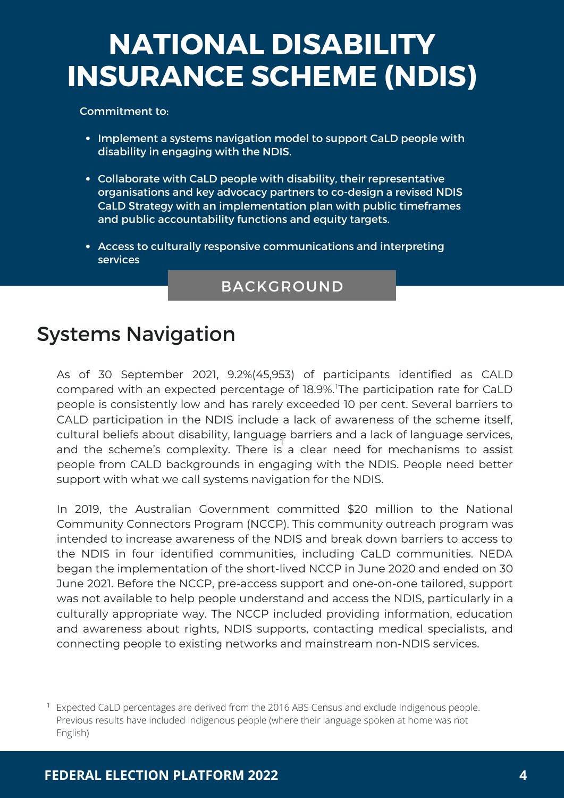## **NATIONAL DISABILITY INSURANCE SCHEME (NDIS)**

#### Commitment to:

- Implement a systems navigation model to support CaLD people with disability in engaging with the NDIS.
- Collaborate with CaLD people with disability, their representative organisations and key advocacy partners to co-design a revised NDIS CaLD Strategy with an implementation plan with public timeframes and public accountability functions and equity targets.
- Access to culturally responsive communications and interpreting services

#### BACKGROUND

### Systems Navigation

As of 30 September 2021, 9.2%(45,953) of participants identified as CALD compared with an expected percentage of 18.9%. The participation rate for CaLD 1 people is consistently low and has rarely exceeded 10 per cent. Several barriers to CALD participation in the NDIS include a lack of awareness of the scheme itself, cultural beliefs about disability, language barriers and a lack of language services, and the scheme's complexity. There is a clear need for mechanisms to assist people from CALD backgrounds in engaging with the NDIS. People need better support with what we call systems navigation for the NDIS.

In 2019, the Australian Government committed \$20 million to the National Community Connectors Program (NCCP). This community outreach program was intended to increase awareness of the NDIS and break down barriers to access to the NDIS in four identified communities, including CaLD communities. NEDA began the implementation of the short-lived NCCP in June 2020 and ended on 30 June 2021. Before the NCCP, pre-access support and one-on-one tailored, support was not available to help people understand and access the NDIS, particularly in a culturally appropriate way. The NCCP included providing information, education and awareness about rights, NDIS supports, contacting medical specialists, and connecting people to existing networks and mainstream non-NDIS services.

<sup>&</sup>lt;sup>1</sup> Expected CaLD percentages are derived from the 2016 ABS Census and exclude Indigenous people. Previous results have included Indigenous people (where their language spoken at home was not English)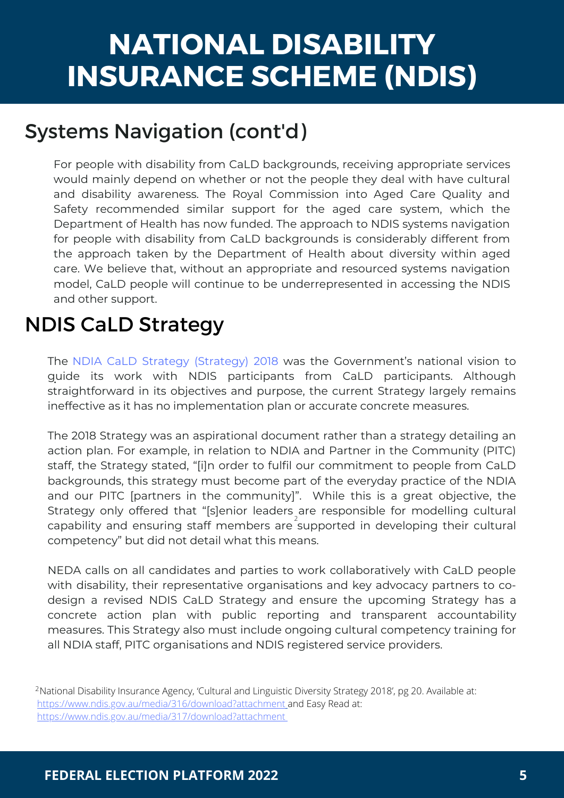## **NATIONAL DISABILITY INSURANCE SCHEME (NDIS)**

### Systems Navigation (cont'd)

For people with disability from CaLD backgrounds, receiving appropriate services would mainly depend on whether or not the people they deal with have cultural and disability awareness. The Royal Commission into Aged Care Quality and Safety recommended similar support for the aged care system, which the Department of Health has now funded. The approach to NDIS systems navigation for people with disability from CaLD backgrounds is considerably different from the approach taken by the Department of Health about diversity within aged care. We believe that, without an appropriate and resourced systems navigation model, CaLD people will continue to be underrepresented in accessing the NDIS and other support.

### NDIS CaLD Strategy

. guide its work with NDIS participants from CaLD participants. Although The NDIA CaLD Strategy [\(Strategy\)](https://www.ndis.gov.au/about-us/strategies/cultural-and-linguistic-diversity-strategy#cultural-and-linguistic-diversity-strategy-2018-22) 2018 was the Government's national vision to straightforward in its objectives and purpose, the current Strategy largely remains ineffective as it has no implementation plan or accurate concrete measures.

The 2018 Strategy was an aspirational document rather than a strategy detailing an action plan. For example, in relation to NDIA and Partner in the Community (PITC) staff, the Strategy stated, "[i]n order to fulfil our commitment to people from CaLD backgrounds, this strategy must become part of the everyday practice of the NDIA and our PITC [partners in the community]". While this is a great objective, the Strategy only offered that "[s]enior leaders are responsible for modelling cultural capability and ensuring staff members are supported in developing their cultural competency" but did not detail what this means.

NEDA calls on all candidates and parties to work collaboratively with CaLD people with disability, their representative organisations and key advocacy partners to codesign a revised NDIS CaLD Strategy and ensure the upcoming Strategy has a concrete action plan with public reporting and transparent accountability measures. This Strategy also must include ongoing cultural competency training for all NDIA staff, PITC organisations and NDIS registered service providers.

<sup>&</sup>lt;sup>2</sup>National Disability Insurance Agency, 'Cultural and Linguistic Diversity Strategy 2018', pg 20. Available at: https://www.ndis.gov.au/media/316/download?attachment and Easy Read at: https://www.ndis.gov.au/media/317/download?attachment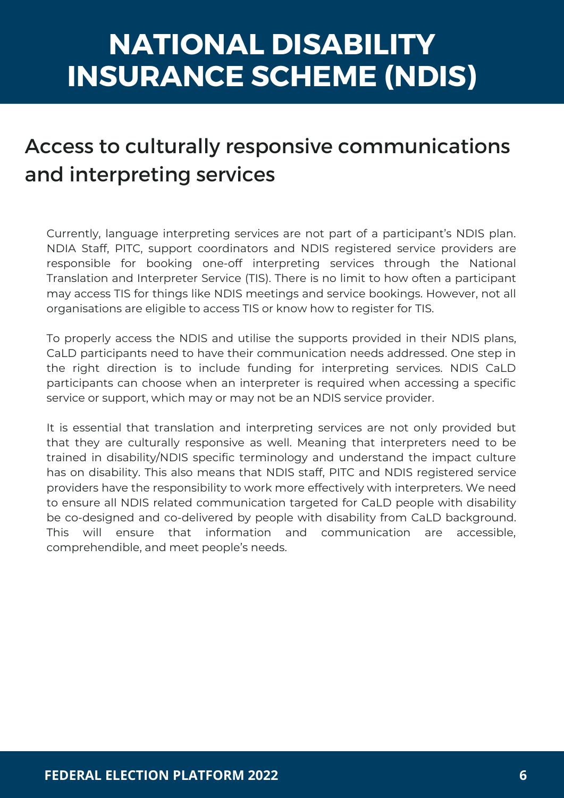## **NATIONAL DISABILITY INSURANCE SCHEME (NDIS)**

### Access to culturally responsive communications and interpreting services

Currently, language interpreting services are not part of a participant's NDIS plan. NDIA Staff, PITC, support coordinators and NDIS registered service providers are responsible for booking one-off interpreting services through the National Translation and Interpreter Service (TIS). There is no limit to how often a participant may access TIS for things like NDIS meetings and service bookings. However, not all organisations are eligible to access TIS or know how to register for TIS.

To properly access the NDIS and danse the supports provided in their NDIS plans, To properly access the NDIS and utilise the supports provided in their NDIS plans, the right direction is to include funding for interpreting services. NDIS CaLD participants can choose when an interpreter is required when accessing a specific service or support, which may or may not be an NDIS service provider.

It is essential that translation and interpreting services are not only provided but that they are culturally responsive as well. Meaning that interpreters need to be trained in disability/NDIS specific terminology and understand the impact culture has on disability. This also means that NDIS staff, PITC and NDIS registered service providers have the responsibility to work more effectively with interpreters. We need to ensure all NDIS related communication targeted for CaLD people with disability be co-designed and co-delivered by people with disability from CaLD background. This will ensure that information and communication are accessible, comprehendible, and meet people's needs.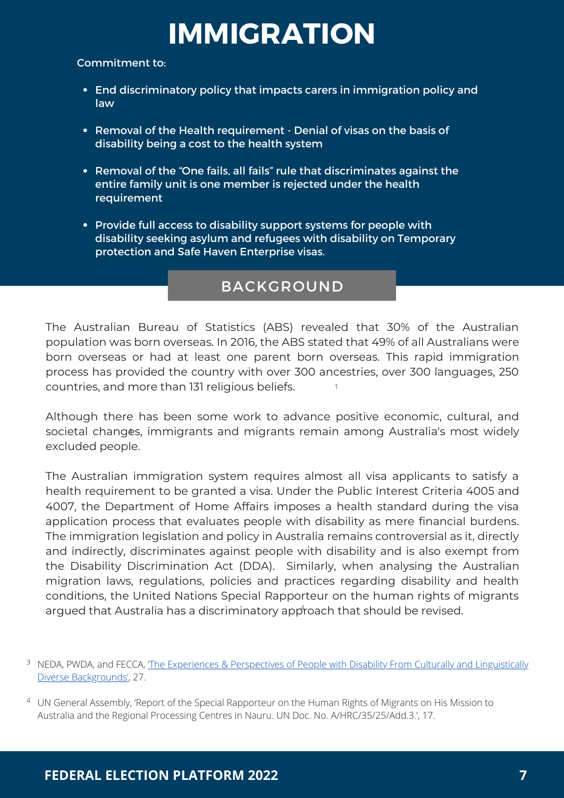## **IMMIGRATION**

Commitment to:

- End discriminatory policy that impacts carers in immigration policy and law
- Removal of the Health requirement Denial of visas on the basis of disability being a cost to the health system
- Removal of the "One fails, all fails" rule that discriminates against the entire family unit is one member is rejected under the health requirement
- Provide full access to disability support systems for people with disability seeking asylum and refugees with disability on Temporary protection and Safe Haven Enterprise visas.

#### BACKGROUND

The Australian Bureau of Statistics (ABS) revealed that 30% of the Australian population was born overseas. In 2016, the ABS stated that 49% of all Australians were born overseas or had at least one parent born overseas. This rapid immigration process has provided the country with over 300 ancestries, over 300 languages, 250 countries, and more than 131 religious beliefs. 1

Although there has been some work to advance positive economic, cultural, and societal changes, immigrants and migrants remain among Australia's most widely 3 excluded people.

The Australian immigration system requires almost all visa applicants to satisfy a health requirement to be granted a visa. Under the Public Interest Criteria 4005 and 4007, the Department of Home Affairs imposes a health standard during the visa application process that evaluates people with disability as mere financial burdens. The immigration legislation and policy in Australia remains controversial as it, directly and indirectly, discriminates against people with disability and is also exempt from the Disability Discrimination Act (DDA). Similarly, when analysing the Australian migration laws, regulations, policies and practices regarding disability and health conditions, the United Nations Special Rapporteur on the human rights of migrants argued that Australia has a discriminatory approach that should be revised.

- <sup>3</sup> NEDA, PWDA, and FECCA, The Experiences & [Perspectives](https://www.neda.org.au/index.php/publications/experiences-perspectives-people-disability-culturally-and-linguistically-diverse) of People with Disability From Culturally and Linguistically Diverse [Backgrounds',](https://www.neda.org.au/index.php/publications/experiences-perspectives-people-disability-culturally-and-linguistically-diverse) 27.
- <sup>4</sup> UN General Assembly, 'Report of the Special Rapporteur on the Human Rights of Migrants on His Mission to Australia and the Regional Processing Centres in Nauru. UN Doc. No. A/HRC/35/25/Add.3.', 17.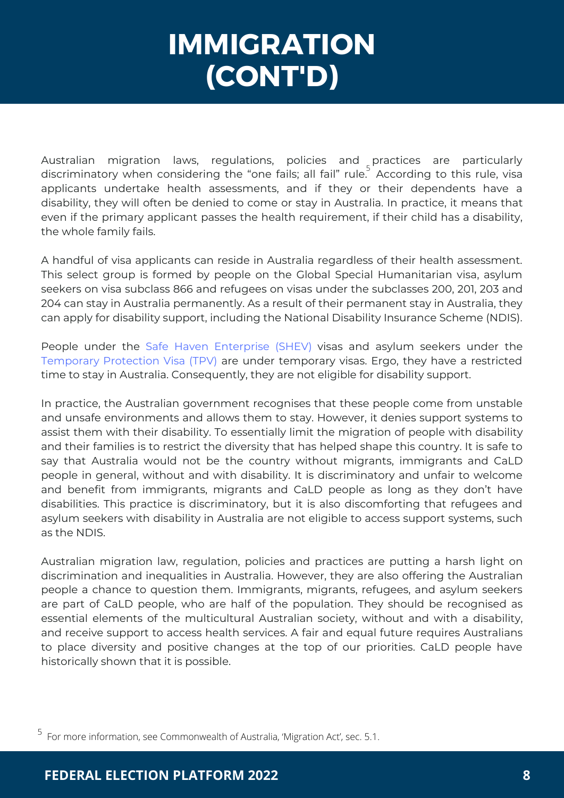## **IMMIGRATION (CONT'D)**

Australian migration laws, regulations, policies and practices are particularly discriminatory when considering the "one fails; all fail" rule. According to this rule, visa applicants undertake health assessments, and if they or their dependents have a disability, they will often be denied to come or stay in Australia. In practice, it means that even if the primary applicant passes the health requirement, if their child has a disability, the whole family fails.

A handful of visa applicants can reside in Australia regardless of their health assessment. This select group is formed by people on the Global Special Humanitarian visa, asylum seekers on visa subclass 866 and refugees on visas under the subclasses 200, 201, 203 and 204 can stay in Australia permanently. As a result of their permanent stay in Australia, they can apply for disability support, including the National Disability Insurance Scheme (NDIS).

People under the Safe Haven [Enterprise](https://immi.homeaffairs.gov.au/visas/getting-a-visa/visa-listing/safe-haven-enterprise-790/shev-pathway/list-of-visas) (SHEV) [visas](https://immi.homeaffairs.gov.au/visas/getting-a-visa/visa-listing/safe-haven-enterprise-790/shev-pathway/list-of-visas) and asylum seekers under the [Temporary](https://immi.homeaffairs.gov.au/visas/getting-a-visa/visa-listing/temporary-protection-785) Protection Visa (TPV[\)](https://immi.homeaffairs.gov.au/visas/getting-a-visa/visa-listing/temporary-protection-785) are under temporary visas. Ergo, they have a restricted time to stay in Australia. Consequently, they are not eligible for disability support.

In practice, the Australian government recognises that these people come from unstable and unsafe environments and allows them to stay. However, it denies support systems to assist them with their disability. To essentially limit the migration of people with disability and their families is to restrict the diversity that has helped shape this country. It is safe to say that Australia would not be the country without migrants, immigrants and CaLD people in general, without and with disability. It is discriminatory and unfair to welcome and benefit from immigrants, migrants and CaLD people as long as they don't have disabilities. This practice is discriminatory, but it is also discomforting that refugees and asylum seekers with disability in Australia are not eligible to access support systems, such as the NDIS.

Australian migration law, regulation, policies and practices are putting a harsh light on discrimination and inequalities in Australia. However, they are also offering the Australian people a chance to question them. Immigrants, migrants, refugees, and asylum seekers are part of CaLD people, who are half of the population. They should be recognised as essential elements of the multicultural Australian society, without and with a disability, and receive support to access health services. A fair and equal future requires Australians to place diversity and positive changes at the top of our priorities. CaLD people have historically shown that it is possible.

<sup>&</sup>lt;sup>5</sup> For more information, see Commonwealth of Australia, 'Migration Act', sec. 5.1.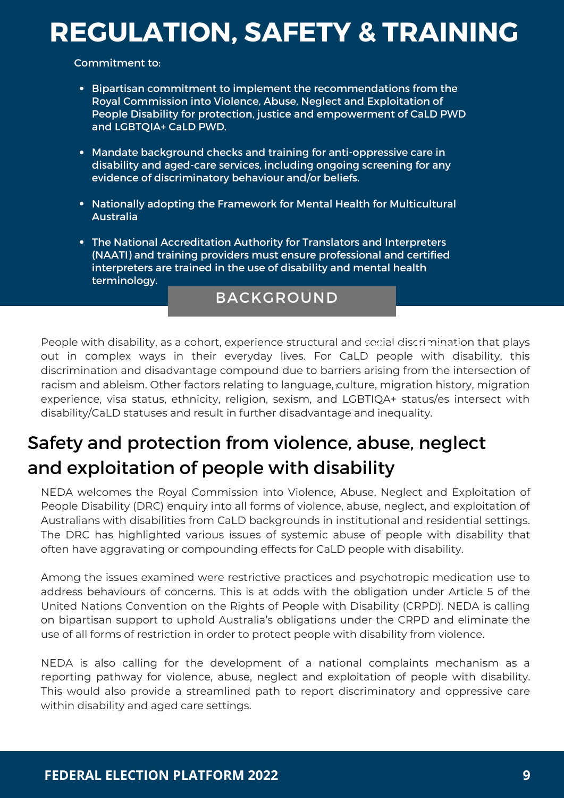### **REGULATION, SAFETY & TRAINING**

Commitment to:

- Bipartisan commitment to implement the recommendations from the Royal Commission into Violence, Abuse, Neglect and Exploitation of People Disability for protection, justice and empowerment of CaLD PWD and LGBTQIA+ CaLD PWD.
- Mandate background checks and training for anti-oppressive care in disability and aged-care services, including ongoing screening for any evidence of discriminatory behaviour and/or beliefs.
- Nationally adopting the Framework for Mental Health for Multicultural Australia
- The National Accreditation Authority for Translators and Interpreters (NAATI) and training providers must ensure professional and certified interpreters are trained in the use of disability and mental health terminology.

#### BACKGROUND

People with disability, as a cohort, experience structural and social discrimination that plays<br>And in assembly work in their averages lives. For Cal Duppeds with dischility this out in complex ways in their everyday lives. For CaLD people with disability, this discrimination and disadvantage compound due to barriers arising from the intersection of racism and ableism. Other factors relating to language, culture, migration history, migration 1 experience, visa status, ethnicity, religion, sexism, and LGBTIQA+ status/es intersect with disability/CaLD statuses and result in further disadvantage and inequality.

### Safety and protection from violence, abuse, neglect and exploitation of people with disability

NEDA welcomes the Royal Commission into Violence, Abuse, Neglect and Exploitation of People Disability (DRC) enquiry into all forms of violence, abuse, neglect, and exploitation of Australians with disabilities from CaLD backgrounds in institutional and residential settings. The DRC has highlighted various issues of systemic abuse of people with disability that often have aggravating or compounding effects for CaLD people with disability.

4 United Nations Convention on the Rights of People with Disability (CRPD). NEDA is calling Among the issues examined were restrictive practices and psychotropic medication use to address behaviours of concerns. This is at odds with the obligation under Article 5 of the on bipartisan support to uphold Australia's obligations under the CRPD and eliminate the use of all forms of restriction in order to protect people with disability from violence.

NEDA is also calling for the development of a national complaints mechanism as a reporting pathway for violence, abuse, neglect and exploitation of people with disability. This would also provide a streamlined path to report discriminatory and oppressive care within disability and aged care settings.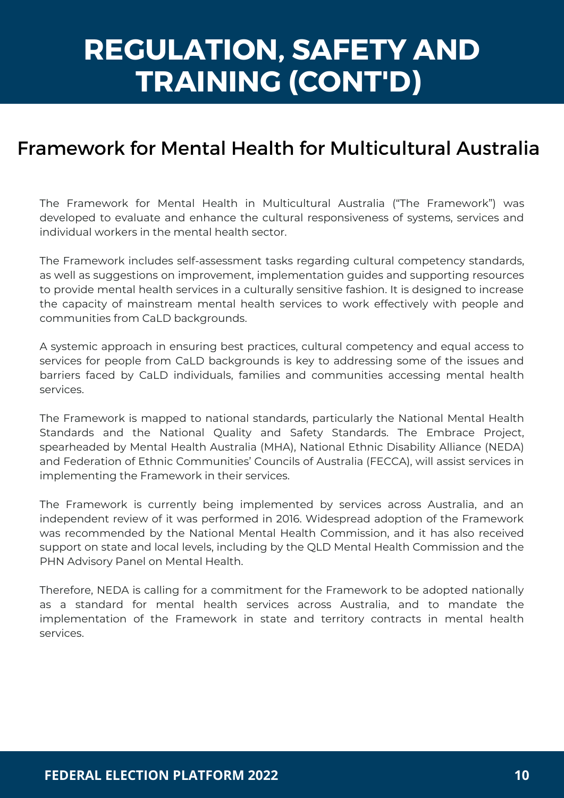## **REGULATION, SAFETY AND TRAINING (CONT'D)**

### Framework for Mental Health for Multicultural Australia

The Framework for Mental Health in Multicultural Australia ("The Framework") was developed to evaluate and enhance the cultural responsiveness of systems, services and individual workers in the mental health sector.

The Framework includes self-assessment tasks regarding cultural competency standards, as well as suggestions on improvement, implementation guides and supporting resources to provide mental health services in a culturally sensitive fashion. It is designed to increase the capacity of mainstream mental health services to work effectively with people and communities from CaLD backgrounds.

A systemic approach in ensuring best practices, cultural competency and equal access to services for people from CaLD backgrounds is key to addressing some of the issues and barriers faced by CaLD individuals, families and communities accessing mental health services.

The Framework is mapped to national standards, particularly the National Mental Health Standards and the National Quality and Safety Standards. The Embrace Project, spearheaded by Mental Health Australia (MHA), National Ethnic Disability Alliance (NEDA) and Federation of Ethnic Communities' Councils of Australia (FECCA), will assist services in implementing the Framework in their services.

The Framework is currently being implemented by services across Australia, and an independent review of it was performed in 2016. Widespread adoption of the Framework was recommended by the National Mental Health Commission, and it has also received support on state and local levels, including by the QLD Mental Health Commission and the PHN Advisory Panel on Mental Health.

Therefore, NEDA is calling for a commitment for the Framework to be adopted nationally as a standard for mental health services across Australia, and to mandate the implementation of the Framework in state and territory contracts in mental health services.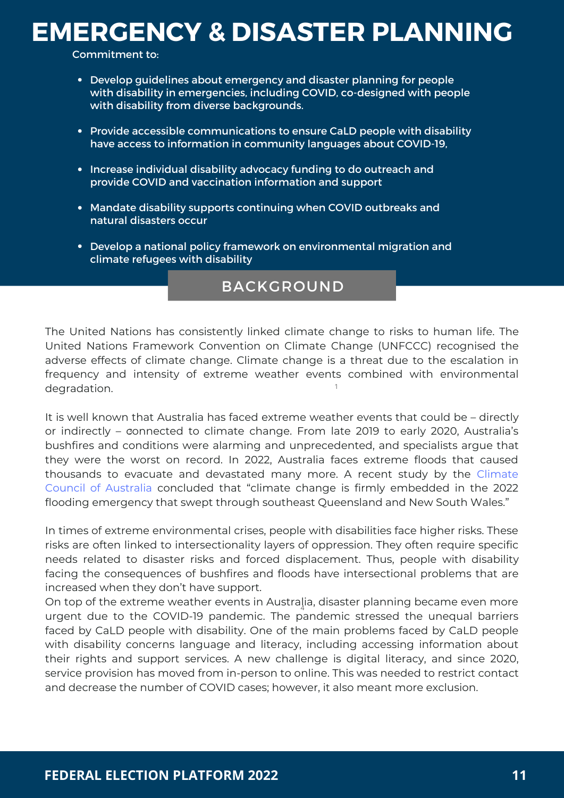### **EMERGENCY & DISASTER PLANNING**

Commitment to:

- Develop guidelines about emergency and disaster planning for people with disability in emergencies, including COVID, co-designed with people with disability from diverse backgrounds.
- Provide accessible communications to ensure CaLD people with disability have access to information in community languages about COVID-19,
- Increase individual disability advocacy funding to do outreach and provide COVID and vaccination information and support
- Mandate disability supports continuing when COVID outbreaks and natural disasters occur
- Develop a national policy framework on environmental migration and climate refugees with disability

#### BACKGROUND

The United Nations has consistently linked climate change to risks to human life. The United Nations Framework Convention on Climate Change (UNFCCC) recognised the adverse effects of climate change. Climate change is a threat due to the escalation in frequency and intensity of extreme weather events combined with environmental degradation. 1

It is well known that Australia has faced extreme weather events that could be – directly or indirectly – connected to climate change. From late 2019 to early 2020, Australia's 3 bushfires and conditions were alarming and unprecedented, and specialists argue that they were the worst on record. In 2022, Australia faces extreme floods that caused thousands to evacuate and [devastated](https://www.climatecouncil.org.au/wp-content/uploads/2022/03/Final_Embargoed-Copy_Flooding-A-Supercharged-Climate_Climate-Council_ILedit_220310.pdf) many more. A recent study by the Climate Council of Australia concluded that "climate change is firmly embedded in the 2022 flooding emergency that swept through southeast Queensland and New South Wales."

In times of extreme environmental crises, people with disabilities face higher risks. These risks are often linked to intersectionality layers of oppression. They often require specific needs related to disaster risks and forced displacement. Thus, people with disability facing the consequences of bushfires and floods have intersectional problems that are increased when they don't have support.

On top of the extreme weather events in Australia, disaster planning became even more urgent due to the COVID-19 pandemic. The pandemic stressed the unequal barriers faced by CaLD people with disability. One of the main problems faced by CaLD people with disability concerns language and literacy, including accessing information about their rights and support services. A new challenge is digital literacy, and since 2020, service provision has moved from in-person to online. This was needed to restrict contact and decrease the number of COVID cases; however, it also meant more exclusion.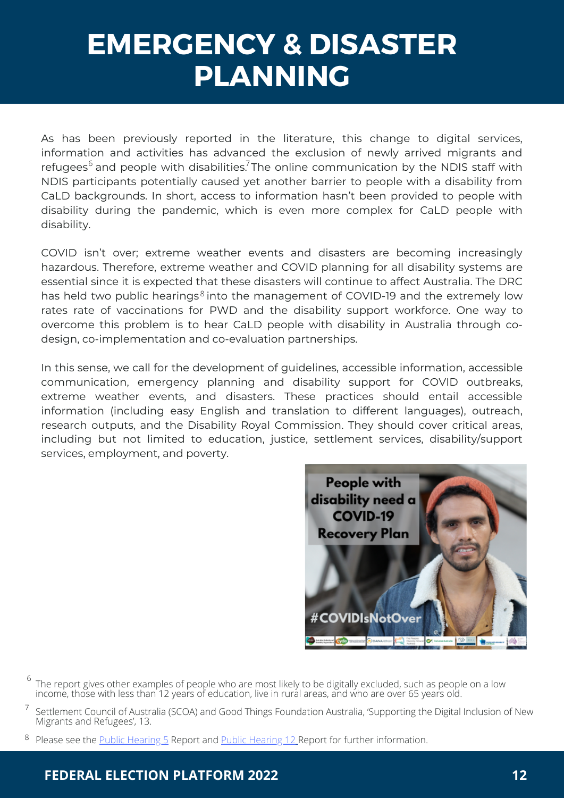## **EMERGENCY & DISASTER PLANNING**

As has been previously reported in the literature, this change to digital services, information and activities has advanced the exclusion of newly arrived migrants and refugees<sup>6</sup> and people with disabilities.<sup>7</sup> The online communication by the NDIS staff with NDIS participants potentially caused yet another barrier to people with a disability from CaLD backgrounds. In short, access to information hasn't been provided to people with disability during the pandemic, which is even more complex for CaLD people with disability.

COVID isn't over; extreme weather events and disasters are becoming increasingly hazardous. Therefore, extreme weather and COVID planning for all disability systems are essential since it is expected that these disasters will continue to affect Australia. The DRC has held two public hearings $8$  into the management of COVID-19 and the extremely low rates rate of vaccinations for PWD and the disability support workforce. One way to overcome this problem is to hear CaLD people with disability in Australia through codesign, co-implementation and co-evaluation partnerships.

In this sense, we call for the development of guidelines, accessible information, accessible communication, emergency planning and disability support for COVID outbreaks, extreme weather events, and disasters. These practices should entail accessible information (including easy English and translation to different languages), outreach, research outputs, and the Disability Royal Commission. They should cover critical areas, including but not limited to education, justice, settlement services, disability/support services, employment, and poverty.



- 6 The report gives other examples of people who are most likely to be digitally excluded, such as people on a low income, those with less than 12 years of education, live in rural areas, and who are over 65 years old.
- Settlement Council of Australia (SCOA) and Good Things [Foundation](https://www.zotero.org/google-docs/?DDJS1i) Australia, 'Supporting the Digital Inclusion of New Migrants and [Refugees',](https://www.zotero.org/google-docs/?DDJS1i) 13. 7
- <sup>8</sup> Please see the **Public [Hearing](https://disability.royalcommission.gov.au/public-hearings/public-hearing-12) [5](https://disability.royalcommission.gov.au/public-hearings/public-hearing-5)** [Report](https://disability.royalcommission.gov.au/public-hearings/public-hearing-5) and Public Hearing 12 Report for further information.

#### **FEDERAL ELECTION PLATFORM 2022**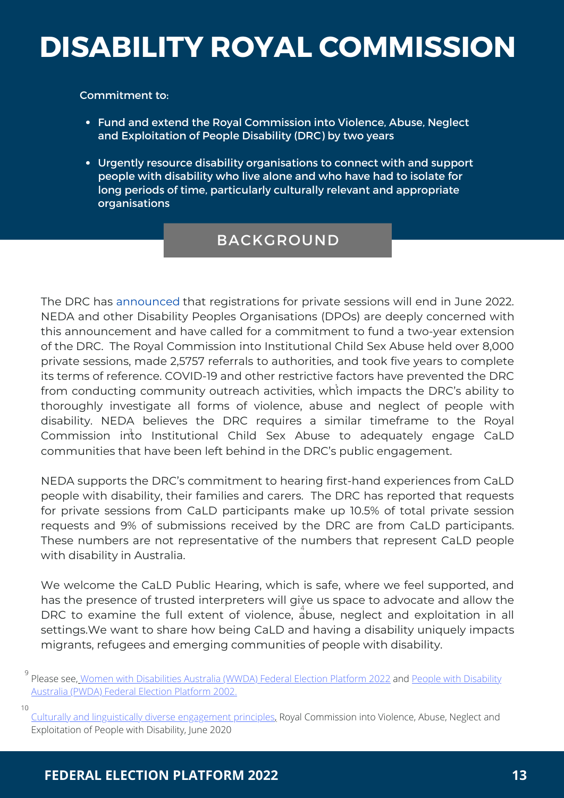## **DISABILITY ROYAL COMMISSION**

#### Commitment to:

- Fund and extend the Royal Commission into Violence, Abuse, Neglect and Exploitation of People Disability (DRC) by two years
- Urgently resource disability organisations to connect with and support people with disability who live alone and who have had to isolate for long periods of time, particularly culturally relevant and appropriate organisations

#### BACKGROUND

The DRC has [announced](https://disability.royalcommission.gov.au/news-and-media/media-releases/royal-commission-announces-important-dates-submissions-and-registrations-private-sessions) that registrations for private sessions will end in June 2022. NEDA and other Disability Peoples Organisations (DPOs) are deeply concerned with this announcement and have called for a commitment to fund a two-year extension of the DRC. The Royal Commission into Institutional Child Sex Abuse held over 8,000 private sessions, made 2,5757 referrals to authorities, and took five years to complete its terms of reference. COVID-19 and other restrictive factors have prevented the DRC from conducting community outreach activities, which impacts the DRC's ability to 1 thoroughly investigate all forms of violence, abuse and neglect of people with disability. NEDA believes the DRC requires a similar timeframe to the Royal Commission into Institutional Child Sex Abuse to adequately engage CaLD communities that have been left behind in the DRC's public engagement.

NEDA supports the DRC's commitment to hearing first-hand experiences from CaLD people with disability, their families and carers. The DRC has reported that requests for private sessions from CaLD participants make up 10.5% of total private session requests and 9% of submissions received by the DRC are from CaLD participants. These numbers are not representative of the numbers that represent CaLD people with disability in Australia.

We welcome the CaLD Public Hearing, which is safe, where we feel supported, and has the presence of trusted interpreters will give us space to advocate and allow the DRC to examine the full extent of violence, abuse, neglect and exploitation in all settings.We want to share how being CaLD and having a disability uniquely impacts migrants, refugees and emerging communities of people with disability.

10

<sup>&</sup>lt;sup>9</sup> Please see<u>, Women with Disabilities Australia (WWDA) Federal Election [Platform](https://wwda.org.au/wp-content/uploads/2022/04/WWDA-Election-Platform-2022-Final.pdf) 2022</u> and <u>People with Disability</u> Australia (PWDA) Federal Election [Platform](https://pwd.org.au/wp-content/uploads/2022/04/PWDA-2022-Fed-Election-Platform.pdf) 2002.

Culturally and linguistically diverse [engagement](https://disability.royalcommission.gov.au/publications/culturally-and-linguistically-diverse-engagement-principles) principles, Royal Commission into Violence, Abuse, Neglect and Exploitation of People with Disability, June 2020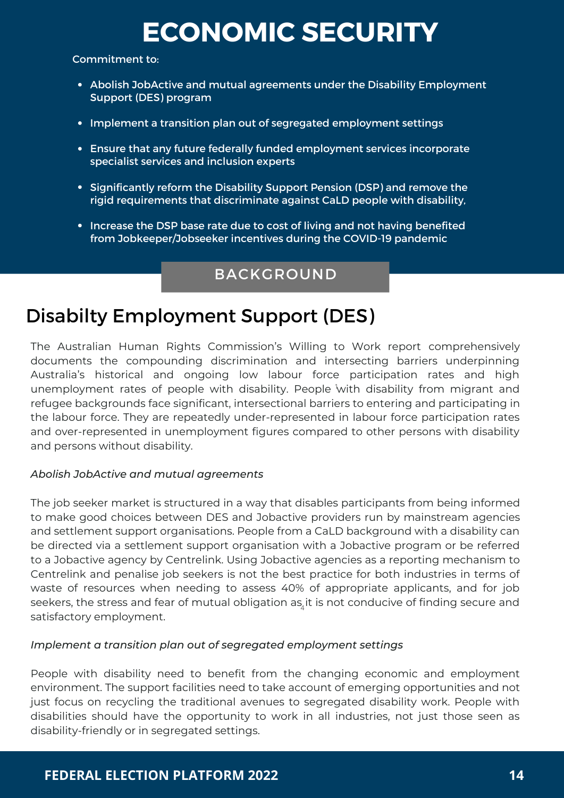## **ECONOMIC SECURITY**

Commitment to:

- Abolish JobActive and mutual agreements under the Disability Employment Support (DES) program
- Implement a transition plan out of segregated employment settings
- Ensure that any future federally funded employment services incorporate specialist services and inclusion experts
- Significantly reform the Disability Support Pension (DSP) and remove the rigid requirements that discriminate against CaLD people with disability,
- Increase the DSP base rate due to cost of living and not having benefited from Jobkeeper/Jobseeker incentives during the COVID-19 pandemic

#### BACKGROUND

### Disabilty Employment Support (DES)

The Australian Human Rights Commission's [Willing](https://www.humanrights.gov.au/our-work/disabilityrights/publications/willing-work-national-inquiry-employment-discrimination) to Work report comprehensively unemployment rates of people with disability. People with disability from migrant and documents the compounding discrimination and intersecting barriers underpinning Australia's historical and ongoing low labour force participation rates and high refugee backgrounds face significant, intersectional barriers to entering and participating in the labour force. They are repeatedly under-represented in labour force participation rates and over-represented in unemployment figures compared to other persons with disability and persons without disability.

#### *Abolish JobActive and mutual agreements*

seekers, the stress and fear of mutual obligation as $_{\!{}_4}$ it is not conducive of finding secure and The job seeker market is structured in a way that disables participants from being informed to make good choices between DES and Jobactive providers run by mainstream agencies and settlement support organisations. People from a CaLD background with a disability can be directed via a settlement support organisation with a Jobactive program or be referred to a Jobactive agency by Centrelink. Using Jobactive agencies as a reporting mechanism to Centrelink and penalise job seekers is not the best practice for both industries in terms of waste of resources when needing to assess 40% of appropriate applicants, and for job satisfactory employment.

#### *Implement a transition plan out of segregated employment settings*

People with disability need to benefit from the changing economic and employment environment. The support facilities need to take account of emerging opportunities and not just focus on recycling the traditional avenues to segregated disability work. People with disabilities should have the opportunity to work in all industries, not just those seen as disability-friendly or in segregated settings.

#### **FEDERAL ELECTION PLATFORM 2022**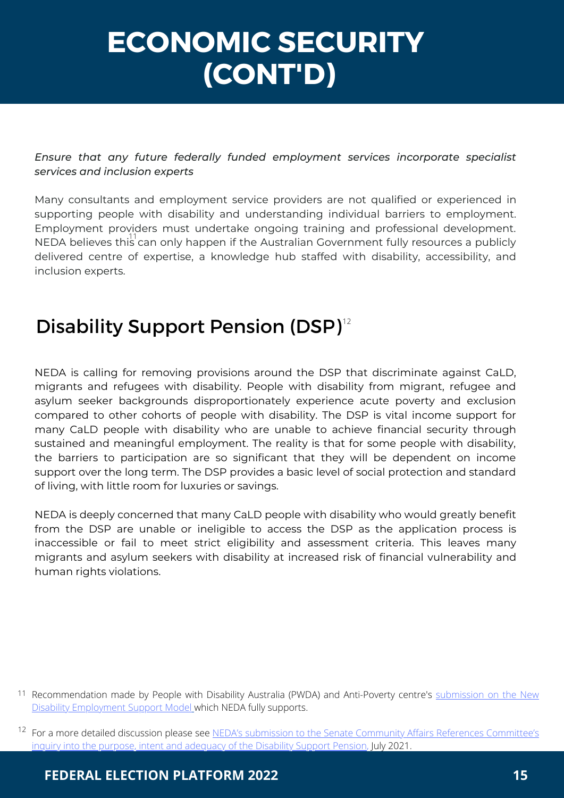## **ECONOMIC SECURITY (CONT'D)**

*Ensure that any future federally funded employment services incorporate specialist services and inclusion experts*

Many consultants and employment service providers are not qualified or experienced in supporting people with disability and understanding individual barriers to employment. Employment providers must undertake ongoing training and professional development.  $NEDA$  believes this can only happen if the Australian Government fully resources a publicly delivered centre of expertise, a knowledge hub staffed with disability, accessibility, and inclusion experts.

### Disability Support Pension (DSP) 12

NEDA is calling for removing provisions around the DSP that discriminate against CaLD, migrants and refugees with disability. People with disability from migrant, refugee and asylum seeker backgrounds disproportionately experience acute poverty and exclusion compared to other cohorts of people with disability. The DSP is vital income support for many CaLD people with disability who are unable to achieve financial security through sustained and meaningful employment. The reality is that for some people with disability, the barriers to participation are so significant that they will be dependent on income support over the long term. The DSP provides a basic level of social protection and standard of living, with little room for luxuries or savings.

NEDA is deeply concerned that many CaLD people with disability who would greatly benefit from the DSP are unable or ineligible to access the DSP as the application process is inaccessible or fail to meet strict eligibility and assessment criteria. This leaves many migrants and asylum seekers with disability at increased risk of financial vulnerability and human rights violations.

<sup>&</sup>lt;sup>11</sup> Recommendation made by People with Disability Australia (PWDA) and Anti-Poverty centre's submission on the New Disability Employment Support Model which NEDA fully supports.

<sup>&</sup>lt;sup>12</sup> For a more detailed discussion please see NEDA's submission to the Senate Community Affairs References [Committee's](https://www.neda.org.au/index.php/publications/nedas-submission-senate-community-affairs-references-committees-inquiry-purpose-intent) inquiry into the purpose, intent and adequacy of the Disability Support Pension, July 2021.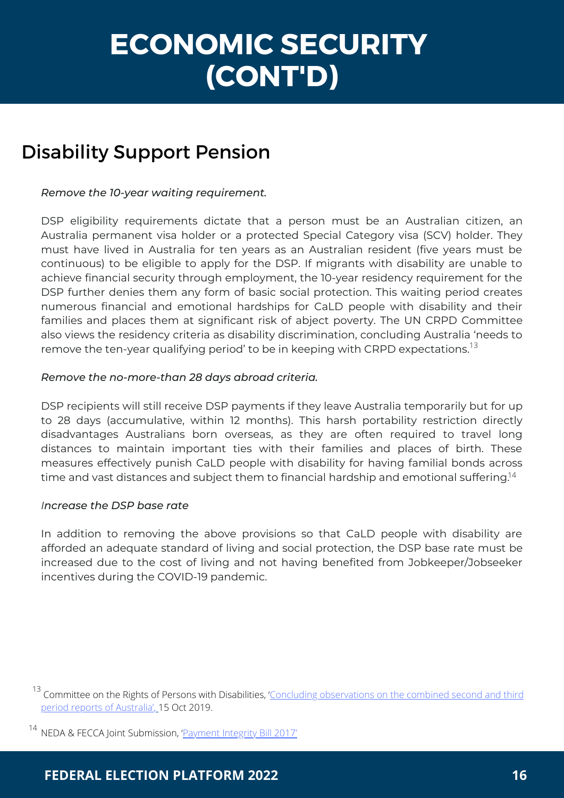## **ECONOMIC SECURITY (CONT'D)**

### Disability Support Pension

*Remove the 10-year waiting requirement.*

remove the ten-year qualifying period' to be in keeping with CRPD expectations.<sup>13</sup> DSP eligibility requirements dictate that a person must be an Australian citizen, an Australia permanent visa holder or a protected Special Category visa (SCV) holder. They must have lived in Australia for ten years as an Australian resident (five years must be continuous) to be eligible to apply for the DSP. If migrants with disability are unable to achieve financial security through employment, the 10-year residency requirement for the DSP further denies them any form of basic social protection. This waiting period creates numerous financial and emotional hardships for CaLD people with disability and their families and places them at significant risk of abject poverty. The UN CRPD Committee also views the residency criteria as disability discrimination, concluding Australia 'needs to

#### *Remove the no-more-than 28 days abroad criteria.*

DSP recipients will still receive DSP payments if they leave Australia temporarily but for up to 28 days (accumulative, within 12 months). This harsh portability restriction directly disadvantages Australians born overseas, as they are often required to travel long distances to maintain important ties with their families and places of birth. These measures effectively punish CaLD people with disability for having familial bonds across time and vast distances and subject them to financial hardship and emotional suffering. $^{14}$ 

#### *Increase the DSP base rate*

In addition to removing the above provisions so that CaLD people with disability are afforded an adequate standard of living and social protection, the DSP base rate must be increased due to the cost of living and not having benefited from Jobkeeper/Jobseeker incentives during the COVID-19 pandemic.

<sup>&</sup>lt;sup>13</sup> Committee on the Rights of Persons with Disabilities, ['C](https://tbinternet.ohchr.org/_layouts/15/treatybodyexternal/Download.aspx?symbolno=CRPD%2fC%2fAUS%2fCO%2f2-3&Lang=en)oncluding [observations](https://tbinternet.ohchr.org/_layouts/15/treatybodyexternal/Download.aspx?symbolno=CRPD%2fC%2fAUS%2fCO%2f2-3&Lang=en) on the combined second and third period reports of [Australia'](https://tbinternet.ohchr.org/_layouts/15/treatybodyexternal/Download.aspx?symbolno=CRPD%2fC%2fAUS%2fCO%2f2-3&Lang=en), 15 Oct 2019.

<sup>&</sup>lt;sup>14</sup> NEDA & FECCA Joint Submission, '<u>Payment Integrity Bill 2017'</u>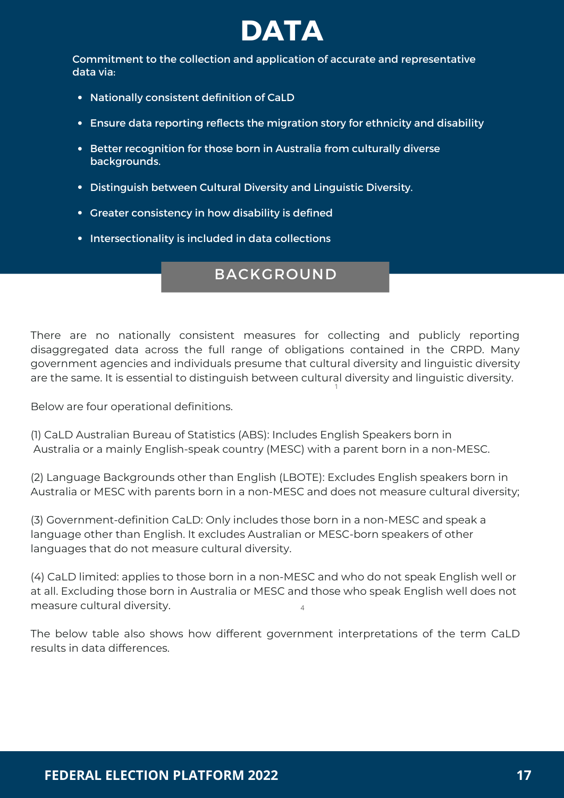

Commitment to the collection and application of accurate and representative data via:

- Nationally consistent definition of CaLD
- Ensure data reporting reflects the migration story for ethnicity and disability
- Better recognition for those born in Australia from culturally diverse backgrounds.
- Distinguish between Cultural Diversity and Linguistic Diversity.
- Greater consistency in how disability is defined
- Intersectionality is included in data collections

#### BACKGROUND

disaggregated data across the full range of obligations contained in the CRPD. Many There are no nationally consistent measures for collecting and publicly reporting government agencies and individuals presume that cultural diversity and linguistic diversity are the same. It is essential to distinguish between cultural diversity and linguistic diversity.

1

Below are four operational definitions.

(1) CaLD Australian Bureau of Statistics (ABS): Includes English Speakers born in Australia or a mainly English-speak country (MESC) with a parent born in a non-MESC.

(2) Language Backgrounds other than English (LBOTE): Excludes English speakers born in Australia or MESC with parents born in a non-MESC and does not measure cultural diversity;

(3) Government-definition CaLD: Only includes those born in a non-MESC and speak a language other than English. It excludes Australian or MESC-born speakers of other languages that do not measure cultural diversity.

4 (4) CaLD limited: applies to those born in a non-MESC and who do not speak English well or at all. Excluding those born in Australia or MESC and those who speak English well does not measure cultural diversity.

The below table also shows how different government interpretations of the term CaLD results in data differences.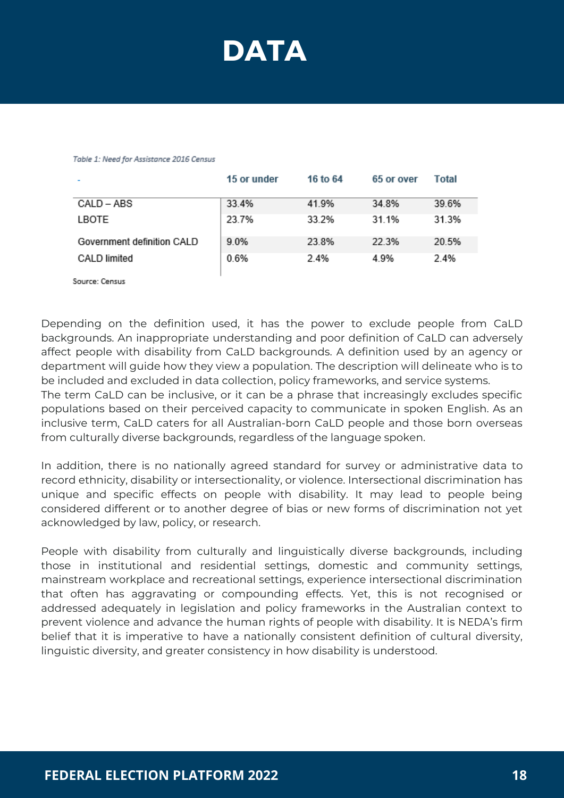

#### Table 1: Need for Assistance 2016 Census

|                            | 15 or under | 16 to 64 | 65 or over | Total |
|----------------------------|-------------|----------|------------|-------|
| CALD – ABS                 | 33.4%       | 41.9%    | 34.8%      | 39.6% |
| LBOTE                      | 23.7%       | 33.2%    | 31.1%      | 31.3% |
| Government definition CALD | 9.0%        | 23.8%    | 22.3%      | 20.5% |
| CALD limited               | 0.6%        | 2.4%     | 4.9%       | 2.4%  |

Source: Census

Backgrounds. An inappropriate anderstanding and poor demittion or each carriadversely Depending on the definition used, it has the power to exclude people from CaLD backgrounds. An inappropriate understanding and poor definition of CaLD can adversely department will guide how they view a population. The description will delineate who is to be included and excluded in data collection, policy frameworks, and service systems.

The term CaLD can be inclusive, or it can be a phrase that increasingly excludes specific populations based on their perceived capacity to communicate in spoken English. As an inclusive term, CaLD caters for all Australian-born CaLD people and those born overseas from culturally diverse backgrounds, regardless of the language spoken.

In addition, there is no nationally agreed standard for survey or administrative data to record ethnicity, disability or intersectionality, or violence. Intersectional discrimination has unique and specific effects on people with disability. It may lead to people being considered different or to another degree of bias or new forms of discrimination not yet acknowledged by law, policy, or research.

People with disability from culturally and linguistically diverse backgrounds, including those in institutional and residential settings, domestic and community settings, mainstream workplace and recreational settings, experience intersectional discrimination that often has aggravating or compounding effects. Yet, this is not recognised or addressed adequately in legislation and policy frameworks in the Australian context to prevent violence and advance the human rights of people with disability. It is NEDA's firm belief that it is imperative to have a nationally consistent definition of cultural diversity, linguistic diversity, and greater consistency in how disability is understood.